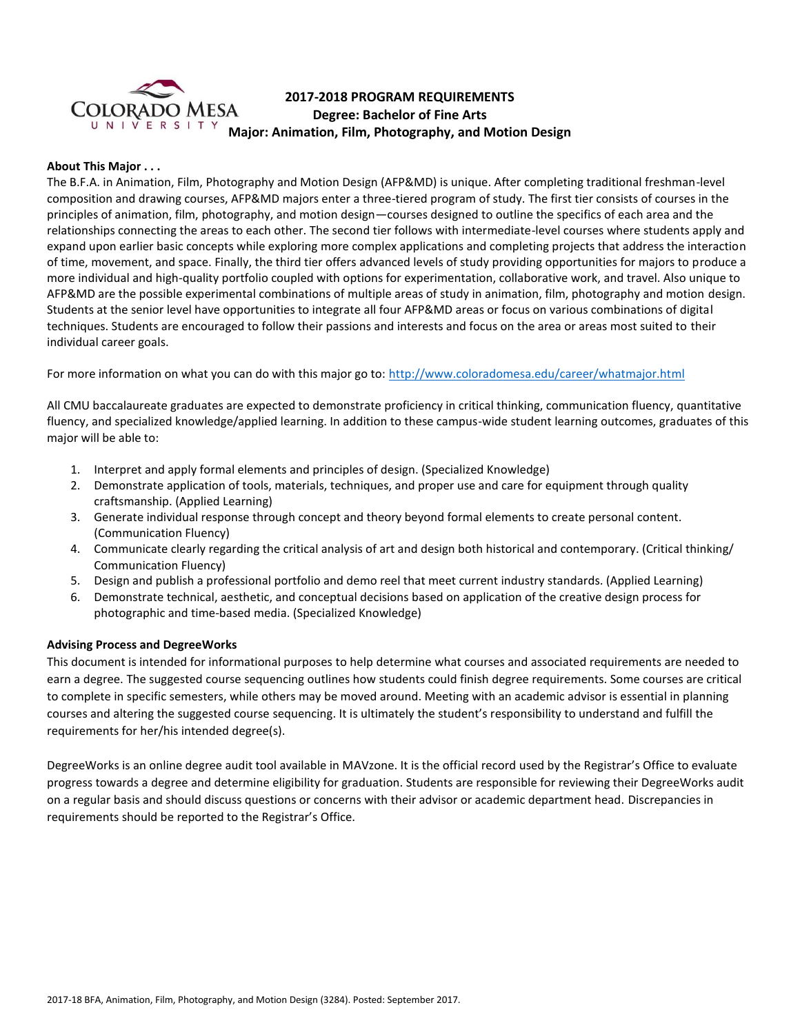

# **2017-2018 PROGRAM REQUIREMENTS Degree: Bachelor of Fine Arts Major: Animation, Film, Photography, and Motion Design**

#### **About This Major . . .**

The B.F.A. in Animation, Film, Photography and Motion Design (AFP&MD) is unique. After completing traditional freshman-level composition and drawing courses, AFP&MD majors enter a three-tiered program of study. The first tier consists of courses in the principles of animation, film, photography, and motion design—courses designed to outline the specifics of each area and the relationships connecting the areas to each other. The second tier follows with intermediate-level courses where students apply and expand upon earlier basic concepts while exploring more complex applications and completing projects that address the interaction of time, movement, and space. Finally, the third tier offers advanced levels of study providing opportunities for majors to produce a more individual and high-quality portfolio coupled with options for experimentation, collaborative work, and travel. Also unique to AFP&MD are the possible experimental combinations of multiple areas of study in animation, film, photography and motion design. Students at the senior level have opportunities to integrate all four AFP&MD areas or focus on various combinations of digital techniques. Students are encouraged to follow their passions and interests and focus on the area or areas most suited to their individual career goals.

For more information on what you can do with this major go to:<http://www.coloradomesa.edu/career/whatmajor.html>

All CMU baccalaureate graduates are expected to demonstrate proficiency in critical thinking, communication fluency, quantitative fluency, and specialized knowledge/applied learning. In addition to these campus-wide student learning outcomes, graduates of this major will be able to:

- 1. Interpret and apply formal elements and principles of design. (Specialized Knowledge)
- 2. Demonstrate application of tools, materials, techniques, and proper use and care for equipment through quality craftsmanship. (Applied Learning)
- 3. Generate individual response through concept and theory beyond formal elements to create personal content. (Communication Fluency)
- 4. Communicate clearly regarding the critical analysis of art and design both historical and contemporary. (Critical thinking/ Communication Fluency)
- 5. Design and publish a professional portfolio and demo reel that meet current industry standards. (Applied Learning)
- 6. Demonstrate technical, aesthetic, and conceptual decisions based on application of the creative design process for photographic and time-based media. (Specialized Knowledge)

### **Advising Process and DegreeWorks**

This document is intended for informational purposes to help determine what courses and associated requirements are needed to earn a degree. The suggested course sequencing outlines how students could finish degree requirements. Some courses are critical to complete in specific semesters, while others may be moved around. Meeting with an academic advisor is essential in planning courses and altering the suggested course sequencing. It is ultimately the student's responsibility to understand and fulfill the requirements for her/his intended degree(s).

DegreeWorks is an online degree audit tool available in MAVzone. It is the official record used by the Registrar's Office to evaluate progress towards a degree and determine eligibility for graduation. Students are responsible for reviewing their DegreeWorks audit on a regular basis and should discuss questions or concerns with their advisor or academic department head. Discrepancies in requirements should be reported to the Registrar's Office.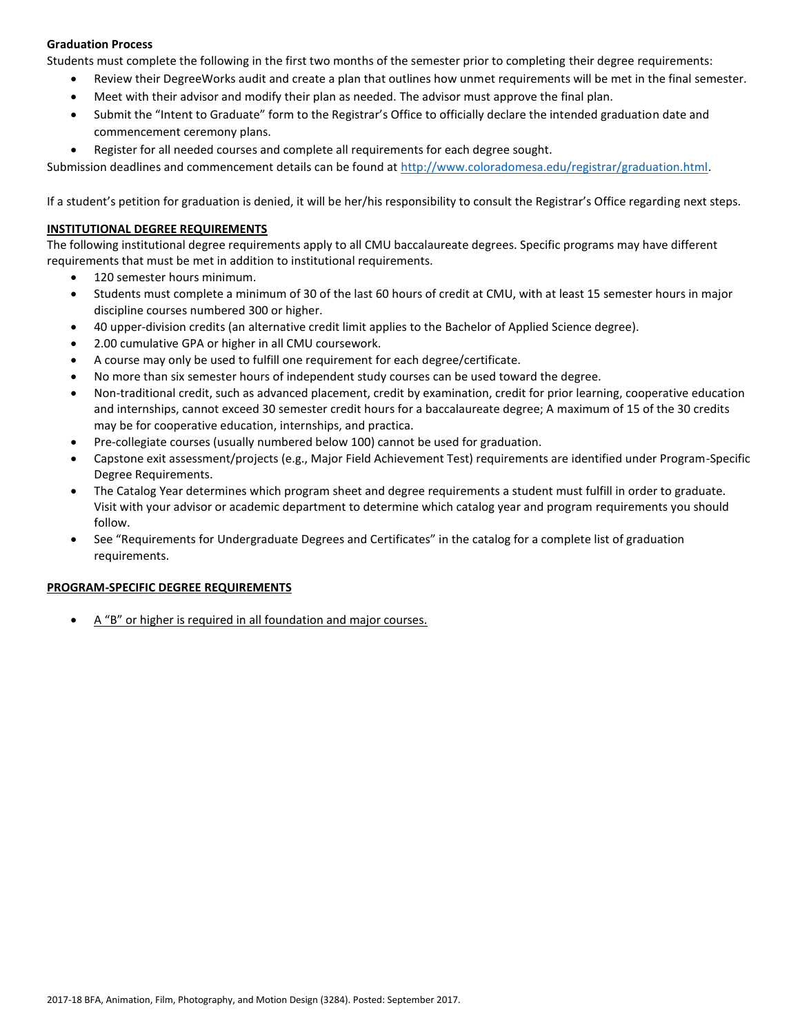# **Graduation Process**

Students must complete the following in the first two months of the semester prior to completing their degree requirements:

- Review their DegreeWorks audit and create a plan that outlines how unmet requirements will be met in the final semester.
- Meet with their advisor and modify their plan as needed. The advisor must approve the final plan.
- Submit the "Intent to Graduate" form to the Registrar's Office to officially declare the intended graduation date and commencement ceremony plans.
- Register for all needed courses and complete all requirements for each degree sought.

Submission deadlines and commencement details can be found at [http://www.coloradomesa.edu/registrar/graduation.html.](http://www.coloradomesa.edu/registrar/graduation.html)

If a student's petition for graduation is denied, it will be her/his responsibility to consult the Registrar's Office regarding next steps.

### **INSTITUTIONAL DEGREE REQUIREMENTS**

The following institutional degree requirements apply to all CMU baccalaureate degrees. Specific programs may have different requirements that must be met in addition to institutional requirements.

- 120 semester hours minimum.
- Students must complete a minimum of 30 of the last 60 hours of credit at CMU, with at least 15 semester hours in major discipline courses numbered 300 or higher.
- 40 upper-division credits (an alternative credit limit applies to the Bachelor of Applied Science degree).
- 2.00 cumulative GPA or higher in all CMU coursework.
- A course may only be used to fulfill one requirement for each degree/certificate.
- No more than six semester hours of independent study courses can be used toward the degree.
- Non-traditional credit, such as advanced placement, credit by examination, credit for prior learning, cooperative education and internships, cannot exceed 30 semester credit hours for a baccalaureate degree; A maximum of 15 of the 30 credits may be for cooperative education, internships, and practica.
- Pre-collegiate courses (usually numbered below 100) cannot be used for graduation.
- Capstone exit assessment/projects (e.g., Major Field Achievement Test) requirements are identified under Program-Specific Degree Requirements.
- The Catalog Year determines which program sheet and degree requirements a student must fulfill in order to graduate. Visit with your advisor or academic department to determine which catalog year and program requirements you should follow.
- See "Requirements for Undergraduate Degrees and Certificates" in the catalog for a complete list of graduation requirements.

### **PROGRAM-SPECIFIC DEGREE REQUIREMENTS**

A "B" or higher is required in all foundation and major courses.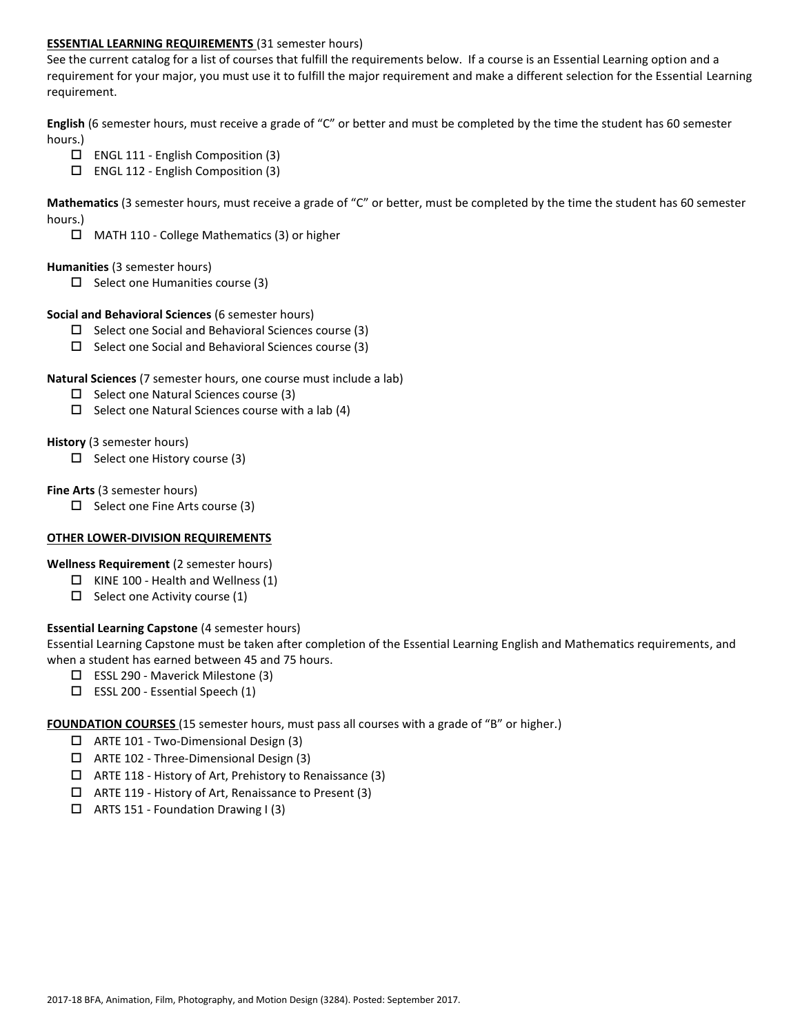#### **ESSENTIAL LEARNING REQUIREMENTS** (31 semester hours)

See the current catalog for a list of courses that fulfill the requirements below. If a course is an Essential Learning option and a requirement for your major, you must use it to fulfill the major requirement and make a different selection for the Essential Learning requirement.

**English** (6 semester hours, must receive a grade of "C" or better and must be completed by the time the student has 60 semester hours.)

- ENGL 111 English Composition (3)
- ENGL 112 English Composition (3)

**Mathematics** (3 semester hours, must receive a grade of "C" or better, must be completed by the time the student has 60 semester hours.)

MATH 110 - College Mathematics (3) or higher

#### **Humanities** (3 semester hours)

 $\Box$  Select one Humanities course (3)

#### **Social and Behavioral Sciences** (6 semester hours)

- $\Box$  Select one Social and Behavioral Sciences course (3)
- $\Box$  Select one Social and Behavioral Sciences course (3)

#### **Natural Sciences** (7 semester hours, one course must include a lab)

- $\square$  Select one Natural Sciences course (3)
- $\Box$  Select one Natural Sciences course with a lab (4)

#### **History** (3 semester hours)

 $\Box$  Select one History course (3)

#### **Fine Arts** (3 semester hours)

 $\Box$  Select one Fine Arts course (3)

#### **OTHER LOWER-DIVISION REQUIREMENTS**

**Wellness Requirement** (2 semester hours)

- $\Box$  KINE 100 Health and Wellness (1)
- $\Box$  Select one Activity course (1)

### **Essential Learning Capstone** (4 semester hours)

Essential Learning Capstone must be taken after completion of the Essential Learning English and Mathematics requirements, and when a student has earned between 45 and 75 hours.

- ESSL 290 Maverick Milestone (3)
- $\Box$  ESSL 200 Essential Speech (1)

**FOUNDATION COURSES** (15 semester hours, must pass all courses with a grade of "B" or higher.)

- ARTE 101 Two-Dimensional Design (3)
- ARTE 102 Three-Dimensional Design (3)
- $\Box$  ARTE 118 History of Art, Prehistory to Renaissance (3)
- ARTE 119 History of Art, Renaissance to Present (3)
- $\Box$  ARTS 151 Foundation Drawing I (3)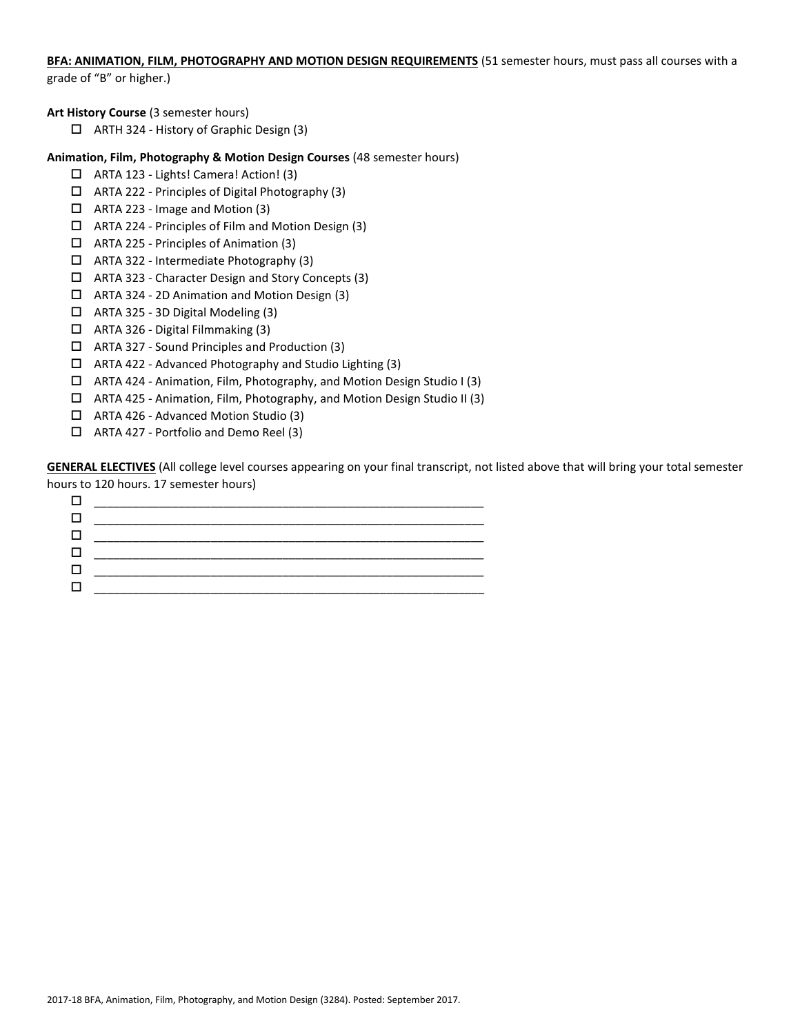# **BFA: ANIMATION, FILM, PHOTOGRAPHY AND MOTION DESIGN REQUIREMENTS** (51 semester hours, must pass all courses with a

grade of "B" or higher.)

#### **Art History Course** (3 semester hours)

ARTH 324 - History of Graphic Design (3)

#### **Animation, Film, Photography & Motion Design Courses** (48 semester hours)

- ARTA 123 Lights! Camera! Action! (3)
- $\Box$  ARTA 222 Principles of Digital Photography (3)
- ARTA 223 Image and Motion (3)
- ARTA 224 Principles of Film and Motion Design (3)
- ARTA 225 Principles of Animation (3)
- $\Box$  ARTA 322 Intermediate Photography (3)
- ARTA 323 Character Design and Story Concepts (3)
- ARTA 324 2D Animation and Motion Design (3)
- ARTA 325 3D Digital Modeling (3)
- ARTA 326 Digital Filmmaking (3)
- ARTA 327 Sound Principles and Production (3)
- $\Box$  ARTA 422 Advanced Photography and Studio Lighting (3)
- ARTA 424 Animation, Film, Photography, and Motion Design Studio I (3)
- ARTA 425 Animation, Film, Photography, and Motion Design Studio II (3)
- ARTA 426 Advanced Motion Studio (3)
- ARTA 427 Portfolio and Demo Reel (3)

**GENERAL ELECTIVES** (All college level courses appearing on your final transcript, not listed above that will bring your total semester hours to 120 hours. 17 semester hours)

| $\mathbf{1}$ |  |
|--------------|--|
|              |  |
|              |  |